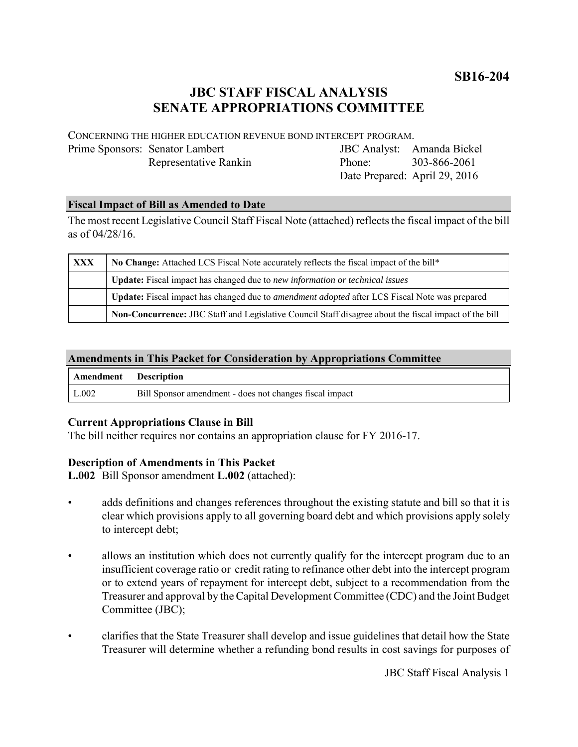# **JBC STAFF FISCAL ANALYSIS SENATE APPROPRIATIONS COMMITTEE**

CONCERNING THE HIGHER EDUCATION REVENUE BOND INTERCEPT PROGRAM. Prime Sponsors: Senator Lambert

Representative Rankin

JBC Analyst: Amanda Bickel Phone: Date Prepared: April 29, 2016 303-866-2061

## **Fiscal Impact of Bill as Amended to Date**

The most recent Legislative Council Staff Fiscal Note (attached) reflects the fiscal impact of the bill as of 04/28/16.

| <b>XXX</b> | No Change: Attached LCS Fiscal Note accurately reflects the fiscal impact of the bill*                |
|------------|-------------------------------------------------------------------------------------------------------|
|            | <b>Update:</b> Fiscal impact has changed due to new information or technical issues                   |
|            | Update: Fiscal impact has changed due to <i>amendment adopted</i> after LCS Fiscal Note was prepared  |
|            | Non-Concurrence: JBC Staff and Legislative Council Staff disagree about the fiscal impact of the bill |

## **Amendments in This Packet for Consideration by Appropriations Committee**

| Amendment Description |                                                         |
|-----------------------|---------------------------------------------------------|
| L.002                 | Bill Sponsor amendment - does not changes fiscal impact |

# **Current Appropriations Clause in Bill**

The bill neither requires nor contains an appropriation clause for FY 2016-17.

#### **Description of Amendments in This Packet**

**L.002** Bill Sponsor amendment **L.002** (attached):

- adds definitions and changes references throughout the existing statute and bill so that it is clear which provisions apply to all governing board debt and which provisions apply solely to intercept debt;
- allows an institution which does not currently qualify for the intercept program due to an insufficient coverage ratio or credit rating to refinance other debt into the intercept program or to extend years of repayment for intercept debt, subject to a recommendation from the Treasurer and approval by the Capital Development Committee (CDC) and the Joint Budget Committee (JBC);
- clarifies that the State Treasurer shall develop and issue guidelines that detail how the State Treasurer will determine whether a refunding bond results in cost savings for purposes of

JBC Staff Fiscal Analysis 1